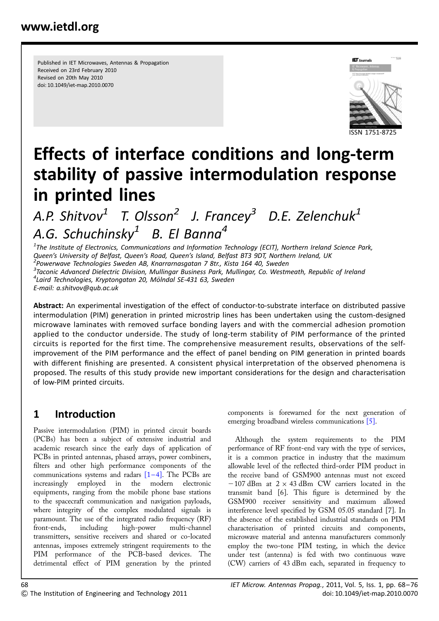Published in IET Microwaves, Antennas & Propagation Received on 23rd February 2010 Revised on 20th May 2010 doi: 10.1049/iet-map.2010.0070



# Effects of interface conditions and long-term stability of passive intermodulation response in printed lines

A.P. Shitvov<sup>1</sup> T. Olsson<sup>2</sup> J. Francey<sup>3</sup> D.E. Zelenchuk<sup>1</sup> A.G. Schuchinsky<sup>1</sup> B. El Banna<sup>4</sup>

 $^{\text{1}}$ The Institute of Electronics, Communications and Information Technology (ECIT), Northern Ireland Science Park, Queen's University of Belfast, Queen's Road, Queen's Island, Belfast BT3 9DT, Northern Ireland, UK 2 Powerwave Technologies Sweden AB, Knarrarnasgatan 7 8tr., Kista 164 40, Sweden <sup>3</sup>Taconic Advanced Dielectric Division, Mullingar Business Park, Mullingar, Co. Westmeath, Republic of Ireland <sup>4</sup> Laird Technologies, Kryptongatan 20, Mölndal SE-431 63, Sweden E-mail: a.shitvov@qub.ac.uk

Abstract: An experimental investigation of the effect of conductor-to-substrate interface on distributed passive intermodulation (PIM) generation in printed microstrip lines has been undertaken using the custom-designed microwave laminates with removed surface bonding layers and with the commercial adhesion promotion applied to the conductor underside. The study of long-term stability of PIM performance of the printed circuits is reported for the first time. The comprehensive measurement results, observations of the selfimprovement of the PIM performance and the effect of panel bending on PIM generation in printed boards with different finishing are presented. A consistent physical interpretation of the observed phenomena is proposed. The results of this study provide new important considerations for the design and characterisation of low-PIM printed circuits.

## 1 Introduction

Passive intermodulation (PIM) in printed circuit boards (PCBs) has been a subject of extensive industrial and academic research since the early days of application of PCBs in printed antennas, phased arrays, power combiners, filters and other high performance components of the communications systems and radars  $[1-4]$ . The PCBs are increasingly employed in the modern electronic equipments, ranging from the mobile phone base stations to the spacecraft communication and navigation payloads, where integrity of the complex modulated signals is paramount. The use of the integrated radio frequency (RF) front-ends, including high-power multi-channel transmitters, sensitive receivers and shared or co-located antennas, imposes extremely stringent requirements to the PIM performance of the PCB-based devices. The detrimental effect of PIM generation by the printed components is forewarned for the next generation of emerging broadband wireless communications [5].

Although the system requirements to the PIM performance of RF front-end vary with the type of services, it is a common practice in industry that the maximum allowable level of the reflected third-order PIM product in the receive band of GSM900 antennas must not exceed  $-107$  dBm at  $2 \times 43$  dBm CW carriers located in the transmit band [6]. This figure is determined by the GSM900 receiver sensitivity and maximum allowed interference level specified by GSM 05.05 standard [7]. In the absence of the established industrial standards on PIM characterisation of printed circuits and components, microwave material and antenna manufacturers commonly employ the two-tone PIM testing, in which the device under test (antenna) is fed with two continuous wave (CW) carriers of 43 dBm each, separated in frequency to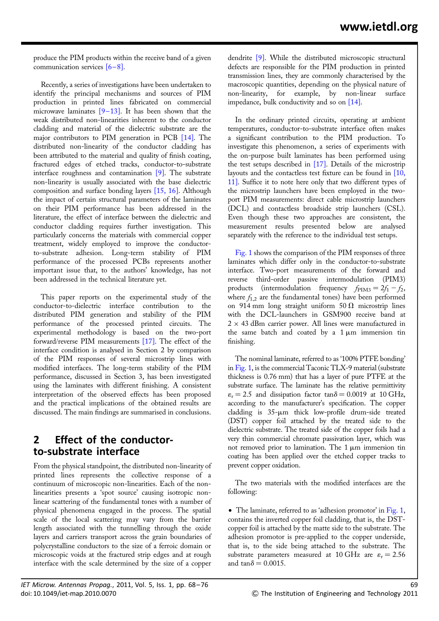produce the PIM products within the receive band of a given communication services  $[6-8]$ .

Recently, a series of investigations have been undertaken to identify the principal mechanisms and sources of PIM production in printed lines fabricated on commercial microwave laminates  $[9-13]$ . It has been shown that the weak distributed non-linearities inherent to the conductor cladding and material of the dielectric substrate are the major contributors to PIM generation in PCB [14]. The distributed non-linearity of the conductor cladding has been attributed to the material and quality of finish coating, fractured edges of etched tracks, conductor-to-substrate interface roughness and contamination [9]. The substrate non-linearity is usually associated with the base dielectric composition and surface bonding layers [15, 16]. Although the impact of certain structural parameters of the laminates on their PIM performance has been addressed in the literature, the effect of interface between the dielectric and conductor cladding requires further investigation. This particularly concerns the materials with commercial copper treatment, widely employed to improve the conductorto-substrate adhesion. Long-term stability of PIM performance of the processed PCBs represents another important issue that, to the authors' knowledge, has not been addressed in the technical literature yet.

This paper reports on the experimental study of the conductor-to-dielectric interface contribution to the distributed PIM generation and stability of the PIM performance of the processed printed circuits. The experimental methodology is based on the two-port forward/reverse PIM measurements [17]. The effect of the interface condition is analysed in Section 2 by comparison of the PIM responses of several microstrip lines with modified interfaces. The long-term stability of the PIM performance, discussed in Section 3, has been investigated using the laminates with different finishing. A consistent interpretation of the observed effects has been proposed and the practical implications of the obtained results are discussed. The main findings are summarised in conclusions.

#### 2 Effect of the conductorto-substrate interface

From the physical standpoint, the distributed non-linearity of printed lines represents the collective response of a continuum of microscopic non-linearities. Each of the nonlinearities presents a 'spot source' causing isotropic nonlinear scattering of the fundamental tones with a number of physical phenomena engaged in the process. The spatial scale of the local scattering may vary from the barrier length associated with the tunnelling through the oxide layers and carriers transport across the grain boundaries of polycrystalline conductors to the size of a ferroic domain or microscopic voids at the fractured strip edges and at rough interface with the scale determined by the size of a copper

In the ordinary printed circuits, operating at ambient temperatures, conductor-to-substrate interface often makes a significant contribution to the PIM production. To investigate this phenomenon, a series of experiments with the on-purpose built laminates has been performed using the test setups described in [17]. Details of the microstrip layouts and the contactless test fixture can be found in [10, 11]. Suffice it to note here only that two different types of the microstrip launchers have been employed in the twoport PIM measurements: direct cable microstrip launchers (DCL) and contactless broadside strip launchers (CSL). Even though these two approaches are consistent, the measurement results presented below are analysed separately with the reference to the individual test setups.

Fig. 1 shows the comparison of the PIM responses of three laminates which differ only in the conductor-to-substrate interface. Two-port measurements of the forward and reverse third-order passive intermodulation (PIM3) products (intermodulation frequency  $f_{\text{PIM3}} = 2f_1 - f_2$ , where  $f_{1,2}$  are the fundamental tones) have been performed on 914 mm long straight uniform  $50 \Omega$  microstrip lines with the DCL-launchers in GSM900 receive band at  $2 \times 43$  dBm carrier power. All lines were manufactured in the same batch and coated by a  $1 \mu m$  immersion tin finishing.

The nominal laminate, referred to as '100% PTFE bonding' in Fig. 1, is the commercial Taconic TLX-9 material (substrate thickness is 0.76 mm) that has a layer of pure PTFE at the substrate surface. The laminate has the relative permittivity  $\varepsilon_r = 2.5$  and dissipation factor tan $\delta = 0.0019$  at 10 GHz, according to the manufacturer's specification. The copper cladding is 35-um thick low-profile drum-side treated (DST) copper foil attached by the treated side to the dielectric substrate. The treated side of the copper foils had a very thin commercial chromate passivation layer, which was not removed prior to lamination. The  $1 \mu m$  immersion tin coating has been applied over the etched copper tracks to prevent copper oxidation.

The two materials with the modified interfaces are the following:

• The laminate, referred to as 'adhesion promotor' in Fig. 1, contains the inverted copper foil cladding, that is, the DSTcopper foil is attached by the matte side to the substrate. The adhesion promotor is pre-applied to the copper underside, that is, to the side being attached to the substrate. The substrate parameters measured at 10 GHz are  $\varepsilon_r = 2.56$ and  $tan \delta = 0.0015$ .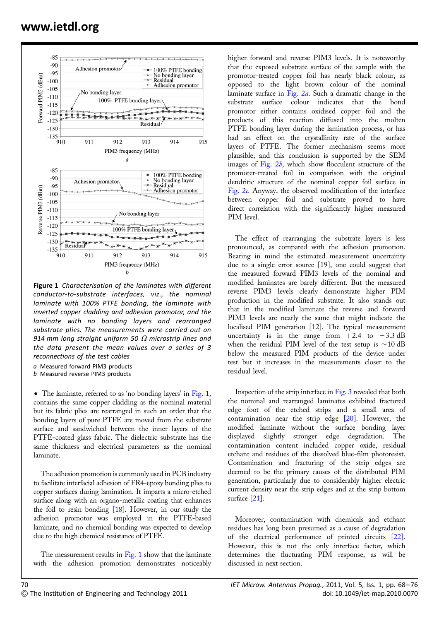

Figure 1 Characterisation of the laminates with different conductor-to-substrate interfaces, viz., the nominal laminate with 100% PTFE bonding, the laminate with inverted copper cladding and adhesion promotor, and the laminate with no bonding layers and rearranged substrate plies. The measurements were carried out on 914 mm long straight uniform 50  $\Omega$  microstrip lines and the data present the mean values over a series of 3 reconnections of the test cables

- a Measured forward PIM3 products
- b Measured reverse PIM3 products

• The laminate, referred to as 'no bonding layers' in Fig. 1, contains the same copper cladding as the nominal material but its fabric plies are rearranged in such an order that the bonding layers of pure PTFE are moved from the substrate surface and sandwiched between the inner layers of the PTFE-coated glass fabric. The dielectric substrate has the same thickness and electrical parameters as the nominal laminate.

The adhesion promotion is commonly used in PCB industry to facilitate interfacial adhesion of FR4-epoxy bonding plies to copper surfaces during lamination. It imparts a micro-etched surface along with an organo-metallic coating that enhances the foil to resin bonding  $[18]$ . However, in our study the adhesion promotor was employed in the PTFE-based laminate, and no chemical bonding was expected to develop due to the high chemical resistance of PTFE.

The measurement results in  $Fig. 1$  show that the laminate with the adhesion promotion demonstrates noticeably

higher forward and reverse PIM3 levels. It is noteworthy that the exposed substrate surface of the sample with the promotor-treated copper foil has nearly black colour, as opposed to the light brown colour of the nominal laminate surface in Fig. 2a. Such a dramatic change in the substrate surface colour indicates that the bond promotor either contains oxidised copper foil and the products of this reaction diffused into the molten PTFE bonding layer during the lamination process, or has had an effect on the crystallinity rate of the surface layers of PTFE. The former mechanism seems more plausible, and this conclusion is supported by the SEM images of Fig.  $2b$ , which show flocculent structure of the promoter-treated foil in comparison with the original dendritic structure of the nominal copper foil surface in Fig. 2c. Anyway, the observed modification of the interface between copper foil and substrate proved to have direct correlation with the significantly higher measured PIM level.

The effect of rearranging the substrate layers is less pronounced, as compared with the adhesion promotion. Bearing in mind the estimated measurement uncertainty due to a single error source [19], one could suggest that the measured forward PIM3 levels of the nominal and modified laminates are barely different. But the measured reverse PIM3 levels clearly demonstrate higher PIM production in the modified substrate. It also stands out that in the modified laminate the reverse and forward PIM3 levels are nearly the same that might indicate the localised PIM generation [12]. The typical measurement uncertainty is in the range from  $+2.4$  to  $-3.3$  dB when the residual PIM level of the test setup is  $\sim$ 10 dB below the measured PIM products of the device under test but it increases in the measurements closer to the residual level.

Inspection of the strip interface in Fig. 3 revealed that both the nominal and rearranged laminates exhibited fractured edge foot of the etched strips and a small area of contamination near the strip edge [20]. However, the modified laminate without the surface bonding layer displayed slightly stronger edge degradation. The contamination content included copper oxide, residual etchant and residues of the dissolved blue-film photoresist. Contamination and fracturing of the strip edges are deemed to be the primary causes of the distributed PIM generation, particularly due to considerably higher electric current density near the strip edges and at the strip bottom surface [21].

Moreover, contamination with chemicals and etchant residues has long been presumed as a cause of degradation of the electrical performance of printed circuits [22]. However, this is not the only interface factor, which determines the fluctuating PIM response, as will be discussed in next section.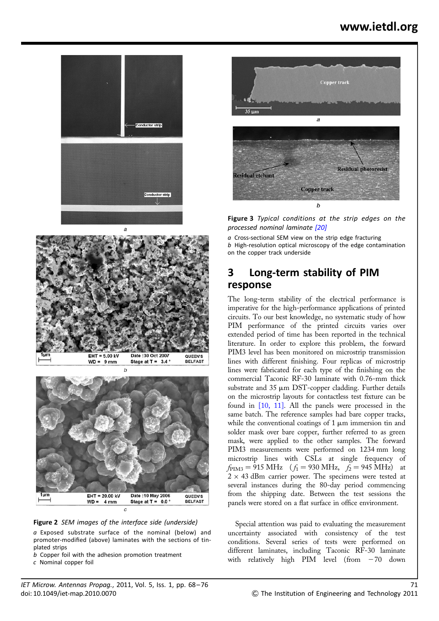





Figure 2 SEM images of the interface side (underside)

a Exposed substrate surface of the nominal (below) and promoter-modified (above) laminates with the sections of tinplated strips

- $\overline{b}$  Copper foil with the adhesion promotion treatment
- c Nominal copper foil



**Figure 3** Typical conditions at the strip edges on the processed nominal laminate [20]

a Cross-sectional SEM view on the strip edge fracturing

b High-resolution optical microscopy of the edge contamination on the copper track underside

#### 3 Long-term stability of PIM response

The long-term stability of the electrical performance is imperative for the high-performance applications of printed circuits. To our best knowledge, no systematic study of how PIM performance of the printed circuits varies over extended period of time has been reported in the technical literature. In order to explore this problem, the forward PIM3 level has been monitored on microstrip transmission lines with different finishing. Four replicas of microstrip lines were fabricated for each type of the finishing on the commercial Taconic RF-30 laminate with 0.76-mm thick substrate and  $35 \mu m$  DST-copper cladding. Further details on the microstrip layouts for contactless test fixture can be found in [10, 11]. All the panels were processed in the same batch. The reference samples had bare copper tracks, while the conventional coatings of  $1 \mu m$  immersion tin and solder mask over bare copper, further referred to as green mask, were applied to the other samples. The forward PIM3 measurements were performed on 1234 mm long microstrip lines with CSLs at single frequency of  $f_{\text{PIM3}} = 915 \text{ MHz}$  ( $f_1 = 930 \text{ MHz}$ ,  $f_2 = 945 \text{ MHz}$ ) at  $2 \times 43$  dBm carrier power. The specimens were tested at several instances during the 80-day period commencing from the shipping date. Between the test sessions the panels were stored on a flat surface in office environment.

Special attention was paid to evaluating the measurement uncertainty associated with consistency of the test conditions. Several series of tests were performed on different laminates, including Taconic RF-30 laminate with relatively high PIM level (from  $-70$  down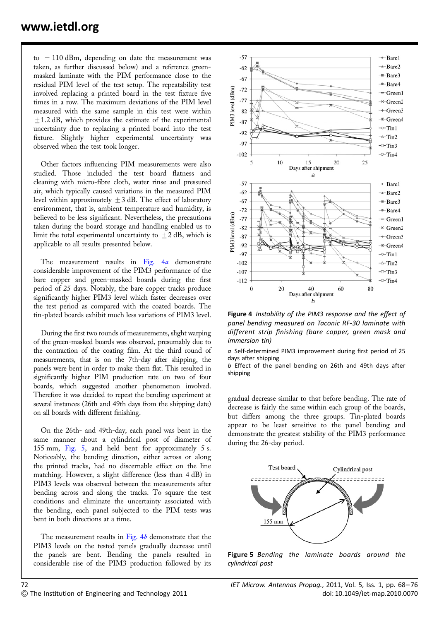to  $-110$  dBm, depending on date the measurement was taken, as further discussed below) and a reference greenmasked laminate with the PIM performance close to the residual PIM level of the test setup. The repeatability test involved replacing a printed board in the test fixture five times in a row. The maximum deviations of the PIM level measured with the same sample in this test were within +1.2 dB, which provides the estimate of the experimental uncertainty due to replacing a printed board into the test fixture. Slightly higher experimental uncertainty was observed when the test took longer.

Other factors influencing PIM measurements were also studied. Those included the test board flatness and cleaning with micro-fibre cloth, water rinse and pressured air, which typically caused variations in the measured PIM level within approximately  $\pm 3$  dB. The effect of laboratory environment, that is, ambient temperature and humidity, is believed to be less significant. Nevertheless, the precautions taken during the board storage and handling enabled us to limit the total experimental uncertainty to  $\pm 2$  dB, which is applicable to all results presented below.

The measurement results in Fig. 4a demonstrate considerable improvement of the PIM3 performance of the bare copper and green-masked boards during the first period of 25 days. Notably, the bare copper tracks produce significantly higher PIM3 level which faster decreases over the test period as compared with the coated boards. The tin-plated boards exhibit much less variations of PIM3 level.

During the first two rounds of measurements, slight warping of the green-masked boards was observed, presumably due to the contraction of the coating film. At the third round of measurements, that is on the 7th-day after shipping, the panels were bent in order to make them flat. This resulted in significantly higher PIM production rate on two of four boards, which suggested another phenomenon involved. Therefore it was decided to repeat the bending experiment at several instances (26th and 49th days from the shipping date) on all boards with different finishing.

On the 26th- and 49th-day, each panel was bent in the same manner about a cylindrical post of diameter of 155 mm, Fig. 5, and held bent for approximately 5 s. Noticeably, the bending direction, either across or along the printed tracks, had no discernable effect on the line matching. However, a slight difference (less than 4 dB) in PIM3 levels was observed between the measurements after bending across and along the tracks. To square the test conditions and eliminate the uncertainty associated with the bending, each panel subjected to the PIM tests was bent in both directions at a time.

The measurement results in Fig. 4b demonstrate that the PIM3 levels on the tested panels gradually decrease until the panels are bent. Bending the panels resulted in considerable rise of the PIM3 production followed by its



Figure 4 Instability of the PIM3 response and the effect of panel bending measured on Taconic RF-30 laminate with different strip finishing (bare copper, green mask and immersion tin)

a Self-determined PIM3 improvement during first period of 25 days after shipping

b Effect of the panel bending on 26th and 49th days after shipping

gradual decrease similar to that before bending. The rate of decrease is fairly the same within each group of the boards, but differs among the three groups. Tin-plated boards appear to be least sensitive to the panel bending and demonstrate the greatest stability of the PIM3 performance during the 26-day period.



Figure 5 Bending the laminate boards around the cylindrical post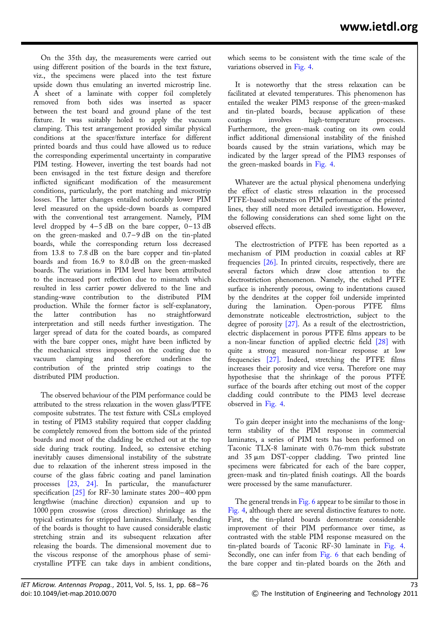On the 35th day, the measurements were carried out using different position of the boards in the text fixture, viz., the specimens were placed into the test fixture upside down thus emulating an inverted microstrip line. A sheet of a laminate with copper foil completely removed from both sides was inserted as spacer between the test board and ground plane of the test fixture. It was suitably holed to apply the vacuum clamping. This test arrangement provided similar physical conditions at the spacer/fixture interface for different printed boards and thus could have allowed us to reduce the corresponding experimental uncertainty in comparative PIM testing. However, inverting the test boards had not been envisaged in the test fixture design and therefore inflicted significant modification of the measurement conditions, particularly, the port matching and microstrip losses. The latter changes entailed noticeably lower PIM level measured on the upside-down boards as compared with the conventional test arrangement. Namely, PIM level dropped by  $4-5$  dB on the bare copper,  $0-13$  dB on the green-masked and  $0.7-9$  dB on the tin-plated boards, while the corresponding return loss decreased from 13.8 to 7.8 dB on the bare copper and tin-plated boards and from 16.9 to 8.0 dB on the green-masked boards. The variations in PIM level have been attributed to the increased port reflection due to mismatch which resulted in less carrier power delivered to the line and standing-wave contribution to the distributed PIM production. While the former factor is self-explanatory, the latter contribution has no straightforward interpretation and still needs further investigation. The larger spread of data for the coated boards, as compared with the bare copper ones, might have been inflicted by the mechanical stress imposed on the coating due to clamping and therefore underlines the contribution of the printed strip coatings to the distributed PIM production.

The observed behaviour of the PIM performance could be attributed to the stress relaxation in the woven glass/PTFE composite substrates. The test fixture with CSLs employed in testing of PIM3 stability required that copper cladding be completely removed from the bottom side of the printed boards and most of the cladding be etched out at the top side during track routing. Indeed, so extensive etching inevitably causes dimensional instability of the substrate due to relaxation of the inherent stress imposed in the course of the glass fabric coating and panel lamination processes [23, 24]. In particular, the manufacturer specification  $\sqrt{25}$  for RF-30 laminate states 200-400 ppm lengthwise (machine direction) expansion and up to 1000 ppm crosswise (cross direction) shrinkage as the typical estimates for stripped laminates. Similarly, bending of the boards is thought to have caused considerable elastic stretching strain and its subsequent relaxation after releasing the boards. The dimensional movement due to the viscous response of the amorphous phase of semicrystalline PTFE can take days in ambient conditions,

It is noteworthy that the stress relaxation can be facilitated at elevated temperatures. This phenomenon has entailed the weaker PIM3 response of the green-masked and tin-plated boards, because application of these coatings involves high-temperature processes. Furthermore, the green-mask coating on its own could inflict additional dimensional instability of the finished boards caused by the strain variations, which may be indicated by the larger spread of the PIM3 responses of the green-masked boards in Fig. 4.

Whatever are the actual physical phenomena underlying the effect of elastic stress relaxation in the processed PTFE-based substrates on PIM performance of the printed lines, they still need more detailed investigation. However, the following considerations can shed some light on the observed effects.

The electrostriction of PTFE has been reported as a mechanism of PIM production in coaxial cables at RF frequencies [26]. In printed circuits, respectively, there are several factors which draw close attention to the electrostriction phenomenon. Namely, the etched PTFE surface is inherently porous, owing to indentations caused by the dendrites at the copper foil underside imprinted during the lamination. Open-porous PTFE films demonstrate noticeable electrostriction, subject to the degree of porosity [27]. As a result of the electrostriction, electric displacement in porous PTFE films appears to be a non-linear function of applied electric field [28] with quite a strong measured non-linear response at low frequencies [27]. Indeed, stretching the PTFE films increases their porosity and vice versa. Therefore one may hypothesise that the shrinkage of the porous PTFE surface of the boards after etching out most of the copper cladding could contribute to the PIM3 level decrease observed in Fig. 4.

To gain deeper insight into the mechanisms of the longterm stability of the PIM response in commercial laminates, a series of PIM tests has been performed on Taconic TLX-8 laminate with 0.76-mm thick substrate and  $35 \mu m$  DST-copper cladding. Two printed line specimens were fabricated for each of the bare copper, green-mask and tin-plated finish coatings. All the boards were processed by the same manufacturer.

The general trends in Fig. 6 appear to be similar to those in Fig. 4, although there are several distinctive features to note. First, the tin-plated boards demonstrate considerable improvement of their PIM performance over time, as contrasted with the stable PIM response measured on the tin-plated boards of Taconic RF-30 laminate in Fig. 4. Secondly, one can infer from Fig. 6 that each bending of the bare copper and tin-plated boards on the 26th and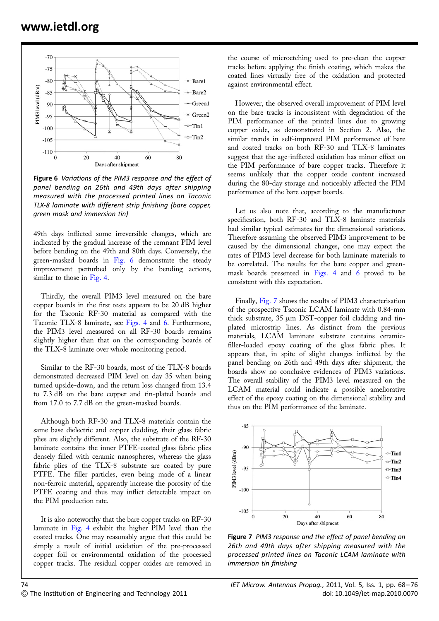

Figure 6 Variations of the PIM3 response and the effect of panel bending on 26th and 49th days after shipping measured with the processed printed lines on Taconic TLX-8 laminate with different strip finishing (bare copper, green mask and immersion tin)

49th days inflicted some irreversible changes, which are indicated by the gradual increase of the remnant PIM level before bending on the 49th and 80th days. Conversely, the green-masked boards in Fig. 6 demonstrate the steady improvement perturbed only by the bending actions, similar to those in Fig. 4.

Thirdly, the overall PIM3 level measured on the bare copper boards in the first tests appears to be 20 dB higher for the Taconic RF-30 material as compared with the Taconic TLX-8 laminate, see Figs. 4 and 6. Furthermore, the PIM3 level measured on all RF-30 boards remains slightly higher than that on the corresponding boards of the TLX-8 laminate over whole monitoring period.

Similar to the RF-30 boards, most of the TLX-8 boards demonstrated decreased PIM level on day 35 when being turned upside-down, and the return loss changed from 13.4 to 7.3 dB on the bare copper and tin-plated boards and from 17.0 to 7.7 dB on the green-masked boards.

Although both RF-30 and TLX-8 materials contain the same base dielectric and copper cladding, their glass fabric plies are slightly different. Also, the substrate of the RF-30 laminate contains the inner PTFE-coated glass fabric plies densely filled with ceramic nanospheres, whereas the glass fabric plies of the TLX-8 substrate are coated by pure PTFE. The filler particles, even being made of a linear non-ferroic material, apparently increase the porosity of the PTFE coating and thus may inflict detectable impact on the PIM production rate.

It is also noteworthy that the bare copper tracks on RF-30 laminate in Fig. 4 exhibit the higher PIM level than the coated tracks. One may reasonably argue that this could be simply a result of initial oxidation of the pre-processed copper foil or environmental oxidation of the processed copper tracks. The residual copper oxides are removed in

the course of microetching used to pre-clean the copper tracks before applying the finish coating, which makes the coated lines virtually free of the oxidation and protected against environmental effect.

However, the observed overall improvement of PIM level on the bare tracks is inconsistent with degradation of the PIM performance of the printed lines due to growing copper oxide, as demonstrated in Section 2. Also, the similar trends in self-improved PIM performance of bare and coated tracks on both RF-30 and TLX-8 laminates suggest that the age-inflicted oxidation has minor effect on the PIM performance of bare copper tracks. Therefore it seems unlikely that the copper oxide content increased during the 80-day storage and noticeably affected the PIM performance of the bare copper boards.

Let us also note that, according to the manufacturer specification, both RF-30 and TLX-8 laminate materials had similar typical estimates for the dimensional variations. Therefore assuming the observed PIM3 improvement to be caused by the dimensional changes, one may expect the rates of PIM3 level decrease for both laminate materials to be correlated. The results for the bare copper and greenmask boards presented in Figs. 4 and 6 proved to be consistent with this expectation.

Finally, Fig. 7 shows the results of PIM3 characterisation of the prospective Taconic LCAM laminate with 0.84-mm thick substrate,  $35 \mu m$  DST-copper foil cladding and tinplated microstrip lines. As distinct from the previous materials, LCAM laminate substrate contains ceramicfiller-loaded epoxy coating of the glass fabric plies. It appears that, in spite of slight changes inflicted by the panel bending on 26th and 49th days after shipment, the boards show no conclusive evidences of PIM3 variations. The overall stability of the PIM3 level measured on the LCAM material could indicate a possible ameliorative effect of the epoxy coating on the dimensional stability and thus on the PIM performance of the laminate.



Figure 7 PIM3 response and the effect of panel bending on 26th and 49th days after shipping measured with the processed printed lines on Taconic LCAM laminate with immersion tin finishing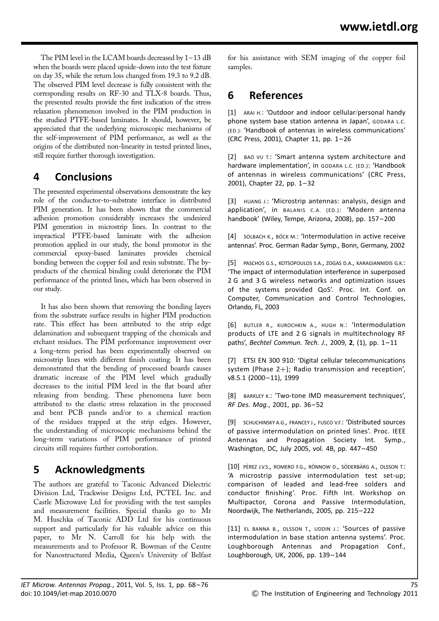The PIM level in the LCAM boards decreased by 1–13 dB when the boards were placed upside-down into the test fixture on day 35, while the return loss changed from 19.3 to 9.2 dB. The observed PIM level decrease is fully consistent with the corresponding results on RF-30 and TLX-8 boards. Thus, the presented results provide the first indication of the stress relaxation phenomenon involved in the PIM production in the studied PTFE-based laminates. It should, however, be appreciated that the underlying microscopic mechanisms of the self-improvement of PIM performance, as well as the origins of the distributed non-linearity in tested printed lines, still require further thorough investigation.

### 4 Conclusions

The presented experimental observations demonstrate the key role of the conductor-to-substrate interface in distributed PIM generation. It has been shown that the commercial adhesion promotion considerably increases the undesired PIM generation in microstrip lines. In contrast to the impractical PTFE-based laminate with the adhesion promotion applied in our study, the bond promotor in the commercial epoxy-based laminates provides chemical bonding between the copper foil and resin substrate. The byproducts of the chemical binding could deteriorate the PIM performance of the printed lines, which has been observed in our study.

It has also been shown that removing the bonding layers from the substrate surface results in higher PIM production rate. This effect has been attributed to the strip edge delamination and subsequent trapping of the chemicals and etchant residues. The PIM performance improvement over a long-term period has been experimentally observed on microstrip lines with different finish coating. It has been demonstrated that the bending of processed boards causes dramatic increase of the PIM level which gradually decreases to the initial PIM level in the flat board after releasing from bending. These phenomena have been attributed to the elastic stress relaxation in the processed and bent PCB panels and/or to a chemical reaction of the residues trapped at the strip edges. However, the understanding of microscopic mechanisms behind the long-term variations of PIM performance of printed circuits still requires further corroboration.

## 5 Acknowledgments

The authors are grateful to Taconic Advanced Dielectric Division Ltd, Trackwise Designs Ltd, PCTEL Inc. and Castle Microwave Ltd for providing with the test samples and measurement facilities. Special thanks go to Mr M. Huschka of Taconic ADD Ltd for his continuous support and particularly for his valuable advice on this paper, to Mr N. Carroll for his help with the measurements and to Professor R. Bowman of the Centre for Nanostructured Media, Queen's University of Belfast

for his assistance with SEM imaging of the copper foil samples.

## 6 References

[1] ARAI H.: 'Outdoor and indoor cellular/personal handy phone system base station antenna in Japan', GODARA L.C. (ED.): 'Handbook of antennas in wireless communications' (CRC Press, 2001), Chapter 11, pp. 1– 26

[2] BAO VU T.: 'Smart antenna system architecture and hardware implementation', in GODARA L.C. (ED.): 'Handbook of antennas in wireless communications' (CRC Press, 2001), Chapter 22, pp. 1– 32

[3] HUANG J.: 'Microstrip antennas: analysis, design and application', in BALANIS C.A. (ED.): 'Modern antenna handbook' (Wiley, Tempe, Arizona, 2008), pp. 157– 200

[4] SOLBACH K., BÖCK M.: 'Intermodulation in active receive antennas'. Proc. German Radar Symp., Bonn, Germany, 2002

[5] PASCHOS G.S., KOTSOPOULOS S.A., ZOGAS D.A., KARAGIANNIDIS G.K.: 'The impact of intermodulation interference in superposed 2 G and 3 G wireless networks and optimization issues of the systems provided QoS'. Proc. Int. Conf. on Computer, Communication and Control Technologies, Orlando, FL, 2003

[6] BUTLER R., KUROCHKIN A., HUGH N.: 'Intermodulation products of LTE and 2 G signals in multitechnology RF paths', Bechtel Commun. Tech. J., 2009, 2, (1), pp. 1-11

[7] ETSI EN 300 910: 'Digital cellular telecommunications system (Phase 2+); Radio transmission and reception', v8.5.1 (2000-11), 1999

[8] BARKLEY K.: 'Two-tone IMD measurement techniques', RF Des. Mag., 2001, pp. 36– 52

[9] SCHUCHINSKY A.G., FRANCEY J., FUSCO V.F.: 'Distributed sources of passive intermodulation on printed lines'. Proc. IEEE Antennas and Propagation Society Int. Symp., Washington, DC, July 2005, vol. 4B, pp. 447– 450

[10] PÉREZ J.V.S., ROMERO F.G., RÖNNOW D., SÖDERBÄRG A., OLSSON T.: 'A microstrip passive intermodulation test set-up; comparison of leaded and lead-free solders and conductor finishing'. Proc. Fifth Int. Workshop on Multipactor, Corona and Passive Intermodulation, Noordwijk, The Netherlands, 2005, pp. 215– 222

[11] EL BANNA B., OLSSON T., UDDIN J.: 'Sources of passive intermodulation in base station antenna systems'. Proc. Loughborough Antennas and Propagation Conf., Loughborough, UK, 2006, pp. 139– 144